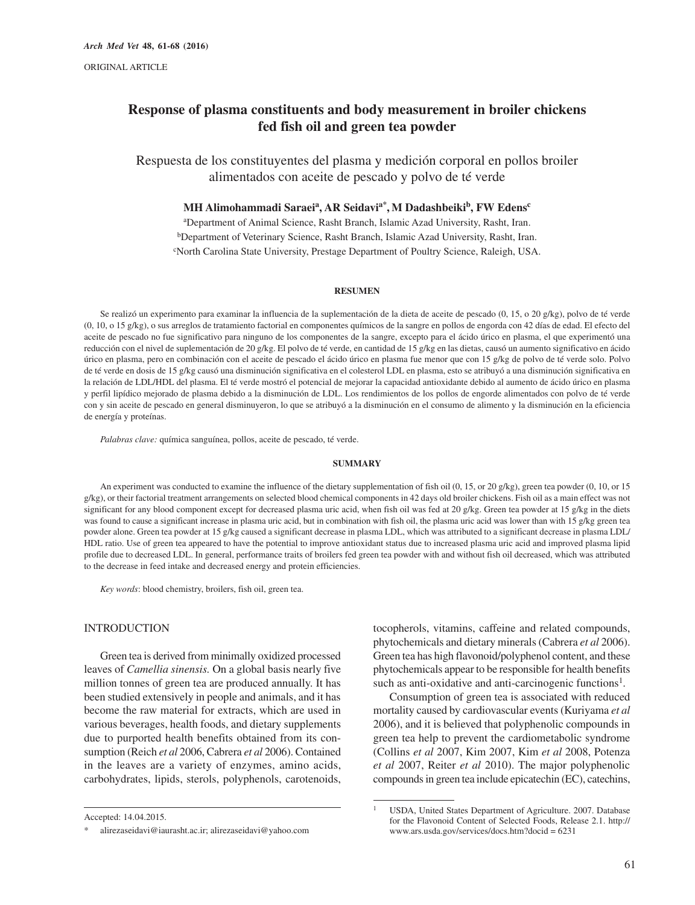# **Response of plasma constituents and body measurement in broiler chickens fed fish oil and green tea powder**

Respuesta de los constituyentes del plasma y medición corporal en pollos broiler alimentados con aceite de pescado y polvo de té verde

# **MH Alimohammadi Saraeia, AR Seidavia\*, M Dadashbeikib, FW Edensc**

a Department of Animal Science, Rasht Branch, Islamic Azad University, Rasht, Iran. bDepartment of Veterinary Science, Rasht Branch, Islamic Azad University, Rasht, Iran. c North Carolina State University, Prestage Department of Poultry Science, Raleigh, USA.

## **RESUMEN**

Se realizó un experimento para examinar la influencia de la suplementación de la dieta de aceite de pescado (0, 15, o 20 g/kg), polvo de té verde (0, 10, o 15 g/kg), o sus arreglos de tratamiento factorial en componentes químicos de la sangre en pollos de engorda con 42 días de edad. El efecto del aceite de pescado no fue significativo para ninguno de los componentes de la sangre, excepto para el ácido úrico en plasma, el que experimentó una reducción con el nivel de suplementación de 20 g/kg. El polvo de té verde, en cantidad de 15 g/kg en las dietas, causó un aumento significativo en ácido úrico en plasma, pero en combinación con el aceite de pescado el ácido úrico en plasma fue menor que con 15 g/kg de polvo de té verde solo. Polvo de té verde en dosis de 15 g/kg causó una disminución significativa en el colesterol LDL en plasma, esto se atribuyó a una disminución significativa en la relación de LDL/HDL del plasma. El té verde mostró el potencial de mejorar la capacidad antioxidante debido al aumento de ácido úrico en plasma y perfil lipídico mejorado de plasma debido a la disminución de LDL. Los rendimientos de los pollos de engorde alimentados con polvo de té verde con y sin aceite de pescado en general disminuyeron, lo que se atribuyó a la disminución en el consumo de alimento y la disminución en la eficiencia de energía y proteínas.

*Palabras clave:* química sanguínea, pollos, aceite de pescado, té verde.

#### **SUMMARY**

An experiment was conducted to examine the influence of the dietary supplementation of fish oil (0, 15, or 20 g/kg), green tea powder (0, 10, or 15  $g/kg$ ), or their factorial treatment arrangements on selected blood chemical components in 42 days old broiler chickens. Fish oil as a main effect was not significant for any blood component except for decreased plasma uric acid, when fish oil was fed at 20 g/kg. Green tea powder at 15 g/kg in the diets was found to cause a significant increase in plasma uric acid, but in combination with fish oil, the plasma uric acid was lower than with 15 g/kg green tea powder alone. Green tea powder at 15 g/kg caused a significant decrease in plasma LDL, which was attributed to a significant decrease in plasma LDL/ HDL ratio. Use of green tea appeared to have the potential to improve antioxidant status due to increased plasma uric acid and improved plasma lipid profile due to decreased LDL. In general, performance traits of broilers fed green tea powder with and without fish oil decreased, which was attributed to the decrease in feed intake and decreased energy and protein efficiencies.

*Key words*: blood chemistry, broilers, fish oil, green tea.

# INTRODUCTION

Green tea is derived from minimally oxidized processed leaves of *Camellia sinensis.* On a global basis nearly five million tonnes of green tea are produced annually. It has been studied extensively in people and animals, and it has become the raw material for extracts, which are used in various beverages, health foods, and dietary supplements due to purported health benefits obtained from its consumption (Reich *et al* 2006, Cabrera *et al* 2006). Contained in the leaves are a variety of enzymes, amino acids, carbohydrates, lipids, sterols, polyphenols, carotenoids, tocopherols, vitamins, caffeine and related compounds, phytochemicals and dietary minerals (Cabrera *et al* 2006). Green tea has high flavonoid/polyphenol content, and these phytochemicals appear to be responsible for health benefits such as anti-oxidative and anti-carcinogenic functions<sup>1</sup>.

Consumption of green tea is associated with reduced mortality caused by cardiovascular events (Kuriyama *et al* 2006), and it is believed that polyphenolic compounds in green tea help to prevent the cardiometabolic syndrome (Collins *et al* 2007, Kim 2007, Kim *et al* 2008, Potenza *et al* 2007, Reiter *et al* 2010). The major polyphenolic compounds in green tea include epicatechin (EC), catechins,

Accepted: 14.04.2015.

alirezaseidavi@iaurasht.ac.ir; alirezaseidavi@yahoo.com

<sup>&</sup>lt;sup>1</sup> USDA, United States Department of Agriculture. 2007. Database for the Flavonoid Content of Selected Foods, Release 2.1. http:// www.ars.usda.gov/services/docs.htm?docid = 6231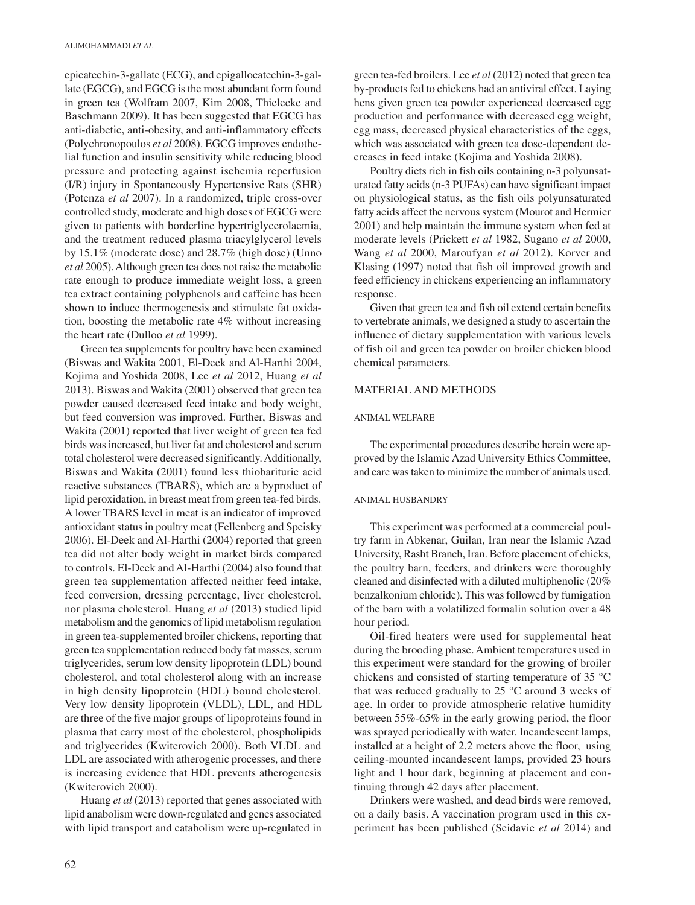epicatechin-3-gallate (ECG), and epigallocatechin-3-gallate (EGCG), and EGCG is the most abundant form found in green tea (Wolfram 2007, Kim 2008, Thielecke and Baschmann 2009). It has been suggested that EGCG has anti-diabetic, anti-obesity, and anti-inflammatory effects (Polychronopoulos *et al* 2008). EGCG improves endothelial function and insulin sensitivity while reducing blood pressure and protecting against ischemia reperfusion (I/R) injury in Spontaneously Hypertensive Rats (SHR) (Potenza *et al* 2007). In a randomized, triple cross-over controlled study, moderate and high doses of EGCG were given to patients with borderline hypertriglycerolaemia, and the treatment reduced plasma triacylglycerol levels by 15.1% (moderate dose) and 28.7% (high dose) (Unno *et al* 2005). Although green tea does not raise the metabolic rate enough to produce immediate weight loss, a green tea extract containing polyphenols and caffeine has been shown to induce thermogenesis and stimulate fat oxidation, boosting the metabolic rate 4% without increasing the heart rate (Dulloo *et al* 1999).

Green tea supplements for poultry have been examined (Biswas and Wakita 2001, El-Deek and Al-Harthi 2004, Kojima and Yoshida 2008, Lee *et al* 2012, Huang *et al* 2013). Biswas and Wakita (2001) observed that green tea powder caused decreased feed intake and body weight, but feed conversion was improved. Further, Biswas and Wakita (2001) reported that liver weight of green tea fed birds was increased, but liver fat and cholesterol and serum total cholesterol were decreased significantly. Additionally, Biswas and Wakita (2001) found less thiobarituric acid reactive substances (TBARS), which are a byproduct of lipid peroxidation, in breast meat from green tea-fed birds. A lower TBARS level in meat is an indicator of improved antioxidant status in poultry meat (Fellenberg and Speisky 2006). El-Deek and Al-Harthi (2004) reported that green tea did not alter body weight in market birds compared to controls. El-Deek and Al-Harthi (2004) also found that green tea supplementation affected neither feed intake, feed conversion, dressing percentage, liver cholesterol, nor plasma cholesterol. Huang *et al* (2013) studied lipid metabolism and the genomics of lipid metabolism regulation in green tea-supplemented broiler chickens, reporting that green tea supplementation reduced body fat masses, serum triglycerides, serum low density lipoprotein (LDL) bound cholesterol, and total cholesterol along with an increase in high density lipoprotein (HDL) bound cholesterol. Very low density lipoprotein (VLDL), LDL, and HDL are three of the five major groups of lipoproteins found in plasma that carry most of the cholesterol, phospholipids and triglycerides (Kwiterovich 2000). Both VLDL and LDL are associated with atherogenic processes, and there is increasing evidence that HDL prevents atherogenesis (Kwiterovich 2000).

Huang *et al* (2013) reported that genes associated with lipid anabolism were down-regulated and genes associated with lipid transport and catabolism were up-regulated in

green tea-fed broilers. Lee *et al* (2012) noted that green tea by-products fed to chickens had an antiviral effect. Laying hens given green tea powder experienced decreased egg production and performance with decreased egg weight, egg mass, decreased physical characteristics of the eggs, which was associated with green tea dose-dependent decreases in feed intake (Kojima and Yoshida 2008).

Poultry diets rich in fish oils containing n-3 polyunsaturated fatty acids (n-3 PUFAs) can have significant impact on physiological status, as the fish oils polyunsaturated fatty acids affect the nervous system (Mourot and Hermier 2001) and help maintain the immune system when fed at moderate levels (Prickett *et al* 1982, Sugano *et al* 2000, Wang *et al* 2000, Maroufyan *et al* 2012). Korver and Klasing (1997) noted that fish oil improved growth and feed efficiency in chickens experiencing an inflammatory response.

Given that green tea and fish oil extend certain benefits to vertebrate animals, we designed a study to ascertain the influence of dietary supplementation with various levels of fish oil and green tea powder on broiler chicken blood chemical parameters.

# MATERIAL AND METHODS

## ANIMAL WELFARE

The experimental procedures describe herein were approved by the Islamic Azad University Ethics Committee, and care was taken to minimize the number of animals used.

#### ANIMAL HUSBANDRY

This experiment was performed at a commercial poultry farm in Abkenar, Guilan, Iran near the Islamic Azad University, Rasht Branch, Iran. Before placement of chicks, the poultry barn, feeders, and drinkers were thoroughly cleaned and disinfected with a diluted multiphenolic (20% benzalkonium chloride). This was followed by fumigation of the barn with a volatilized formalin solution over a 48 hour period.

Oil-fired heaters were used for supplemental heat during the brooding phase. Ambient temperatures used in this experiment were standard for the growing of broiler chickens and consisted of starting temperature of 35 °C that was reduced gradually to  $25^{\circ}$ C around 3 weeks of age. In order to provide atmospheric relative humidity between 55%-65% in the early growing period, the floor was sprayed periodically with water. Incandescent lamps, installed at a height of 2.2 meters above the floor, using ceiling-mounted incandescent lamps, provided 23 hours light and 1 hour dark, beginning at placement and continuing through 42 days after placement.

Drinkers were washed, and dead birds were removed, on a daily basis. A vaccination program used in this experiment has been published (Seidavie *et al* 2014) and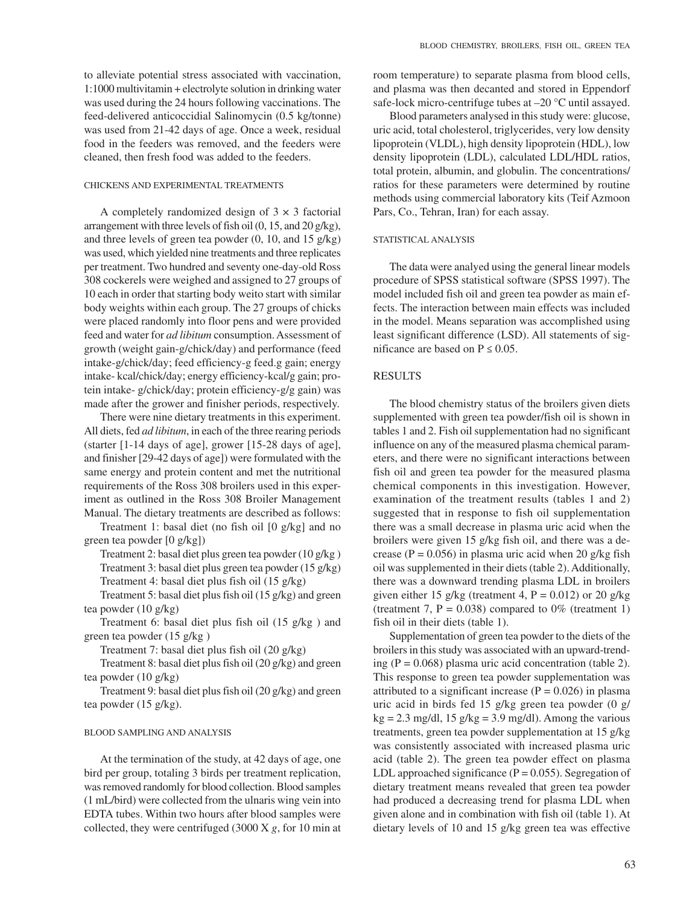to alleviate potential stress associated with vaccination, 1:1000 multivitamin + electrolyte solution in drinking water was used during the 24 hours following vaccinations. The feed-delivered anticoccidial Salinomycin (0.5 kg/tonne) was used from 21-42 days of age. Once a week, residual food in the feeders was removed, and the feeders were cleaned, then fresh food was added to the feeders.

# CHICKENS AND EXPERIMENTAL TREATMENTS

A completely randomized design of  $3 \times 3$  factorial arrangement with three levels of fish oil (0, 15, and 20 g/kg), and three levels of green tea powder (0, 10, and 15 g/kg) was used, which yielded nine treatments and three replicates per treatment. Two hundred and seventy one-day-old Ross 308 cockerels were weighed and assigned to 27 groups of 10 each in order that starting body weito start with similar body weights within each group. The 27 groups of chicks were placed randomly into floor pens and were provided feed and water for *ad libitum* consumption. Assessment of growth (weight gain-g/chick/day) and performance (feed intake-g/chick/day; feed efficiency-g feed.g gain; energy intake- kcal/chick/day; energy efficiency-kcal/g gain; protein intake- g/chick/day; protein efficiency-g/g gain) was made after the grower and finisher periods, respectively.

There were nine dietary treatments in this experiment. All diets, fed *ad libitum*, in each of the three rearing periods (starter [1-14 days of age], grower [15-28 days of age], and finisher [29-42 days of age]) were formulated with the same energy and protein content and met the nutritional requirements of the Ross 308 broilers used in this experiment as outlined in the Ross 308 Broiler Management Manual. The dietary treatments are described as follows:

Treatment 1: basal diet (no fish oil [0 g/kg] and no green tea powder [0 g/kg])

Treatment 2: basal diet plus green tea powder (10 g/kg ) Treatment 3: basal diet plus green tea powder (15 g/kg) Treatment 4: basal diet plus fish oil (15 g/kg)

Treatment 5: basal diet plus fish oil (15 g/kg) and green tea powder (10 g/kg)

Treatment 6: basal diet plus fish oil (15 g/kg ) and green tea powder (15 g/kg )

Treatment 7: basal diet plus fish oil (20 g/kg)

Treatment 8: basal diet plus fish oil (20 g/kg) and green tea powder (10 g/kg)

Treatment 9: basal diet plus fish oil (20 g/kg) and green tea powder (15 g/kg).

## BLOOD SAMPLING AND ANALYSIS

At the termination of the study, at 42 days of age, one bird per group, totaling 3 birds per treatment replication, was removed randomly for blood collection. Blood samples (1 mL/bird) were collected from the ulnaris wing vein into EDTA tubes. Within two hours after blood samples were collected, they were centrifuged (3000 X *g*, for 10 min at room temperature) to separate plasma from blood cells, and plasma was then decanted and stored in Eppendorf safe-lock micro-centrifuge tubes at –20 °C until assayed.

Blood parameters analysed in this study were: glucose, uric acid, total cholesterol, triglycerides, very low density lipoprotein (VLDL), high density lipoprotein (HDL), low density lipoprotein (LDL), calculated LDL/HDL ratios, total protein, albumin, and globulin. The concentrations/ ratios for these parameters were determined by routine methods using commercial laboratory kits (Teif Azmoon Pars, Co., Tehran, Iran) for each assay.

## STATISTICAL ANALYSIS

The data were analyed using the general linear models procedure of SPSS statistical software (SPSS 1997). The model included fish oil and green tea powder as main effects. The interaction between main effects was included in the model. Means separation was accomplished using least significant difference (LSD). All statements of significance are based on  $P \le 0.05$ .

## RESULTS

The blood chemistry status of the broilers given diets supplemented with green tea powder/fish oil is shown in tables 1 and 2. Fish oil supplementation had no significant influence on any of the measured plasma chemical parameters, and there were no significant interactions between fish oil and green tea powder for the measured plasma chemical components in this investigation. However, examination of the treatment results (tables 1 and 2) suggested that in response to fish oil supplementation there was a small decrease in plasma uric acid when the broilers were given 15 g/kg fish oil, and there was a decrease ( $P = 0.056$ ) in plasma uric acid when 20 g/kg fish oil was supplemented in their diets (table 2). Additionally, there was a downward trending plasma LDL in broilers given either 15 g/kg (treatment 4,  $P = 0.012$ ) or 20 g/kg (treatment 7,  $P = 0.038$ ) compared to 0% (treatment 1) fish oil in their diets (table 1).

Supplementation of green tea powder to the diets of the broilers in this study was associated with an upward-trending ( $P = 0.068$ ) plasma uric acid concentration (table 2). This response to green tea powder supplementation was attributed to a significant increase ( $P = 0.026$ ) in plasma uric acid in birds fed 15 g/kg green tea powder (0 g/  $kg = 2.3$  mg/dl, 15 g/kg = 3.9 mg/dl). Among the various treatments, green tea powder supplementation at 15 g/kg was consistently associated with increased plasma uric acid (table 2). The green tea powder effect on plasma LDL approached significance  $(P = 0.055)$ . Segregation of dietary treatment means revealed that green tea powder had produced a decreasing trend for plasma LDL when given alone and in combination with fish oil (table 1). At dietary levels of 10 and 15 g/kg green tea was effective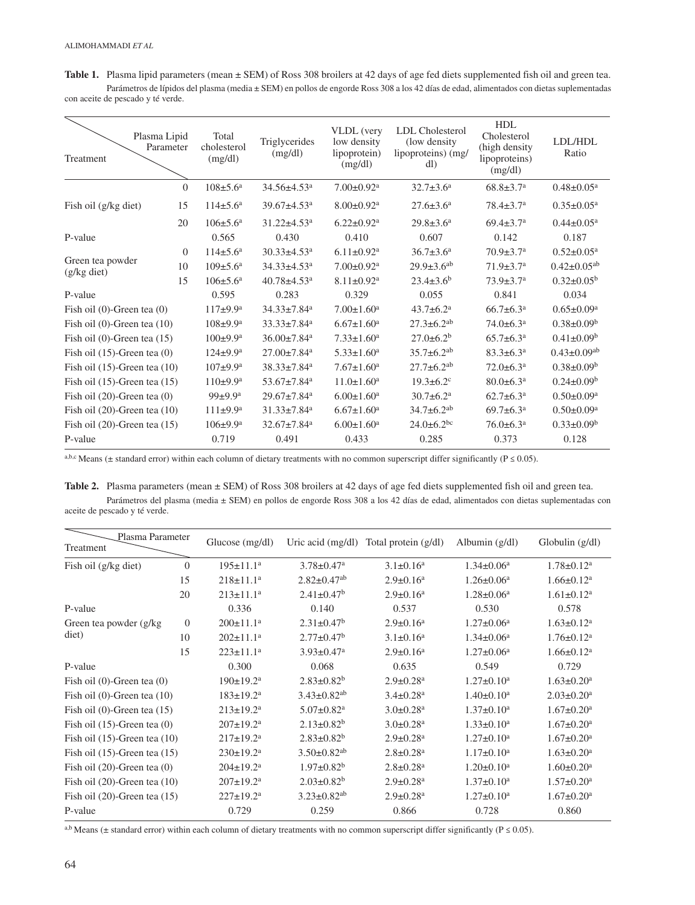Table 1. Plasma lipid parameters (mean  $\pm$  SEM) of Ross 308 broilers at 42 days of age fed diets supplemented fish oil and green tea. Parámetros de lípidos del plasma (media ± SEM) en pollos de engorde Ross 308 a los 42 días de edad, alimentados con dietas suplementadas con aceite de pescado y té verde.

| Treatment                         | Plasma Lipid<br>Parameter | Total<br>cholesterol<br>(mg/dl) | Triglycerides<br>(mg/dl)      | VLDL (very<br>low density<br>lipoprotein)<br>(mg/dl) | <b>LDL</b> Cholesterol<br>(low density)<br>lipoproteins) (mg/<br>dl) | HDL<br>Cholesterol<br>(high density)<br>lipoproteins)<br>(mg/dl) | LDL/HDL<br>Ratio              |
|-----------------------------------|---------------------------|---------------------------------|-------------------------------|------------------------------------------------------|----------------------------------------------------------------------|------------------------------------------------------------------|-------------------------------|
|                                   | $\Omega$                  | $108 \pm 5.6^{\circ}$           | $34.56 \pm 4.53$ <sup>a</sup> | $7.00 \pm 0.92$ <sup>a</sup>                         | $32.7 \pm 3.6^a$                                                     | $68.8 \pm 3.7$ <sup>a</sup>                                      | $0.48 \pm 0.05^{\text{a}}$    |
| Fish oil (g/kg diet)              | 15                        | $114 \pm 5.6^{\text{a}}$        | $39.67 \pm 4.53$ <sup>a</sup> | $8.00 \pm 0.92$ <sup>a</sup>                         | $27.6 \pm 3.6^a$                                                     | $78.4 \pm 3.7$ <sup>a</sup>                                      | $0.35 \pm 0.05^{\text{a}}$    |
|                                   | 20                        | $106 \pm 5.6^{\text{a}}$        | $31.22 \pm 4.53$ <sup>a</sup> | $6.22 \pm 0.92^a$                                    | $29.8 \pm 3.6^a$                                                     | $69.4 \pm 3.7$ <sup>a</sup>                                      | $0.44 \pm 0.05^{\text{a}}$    |
| P-value                           |                           | 0.565                           | 0.430                         | 0.410                                                | 0.607                                                                | 0.142                                                            | 0.187                         |
| Green tea powder<br>$(g/kg$ diet) | $\Omega$                  | $114 \pm 5.6^{\text{a}}$        | $30.33 \pm 4.53$ <sup>a</sup> | $6.11 \pm 0.92$ <sup>a</sup>                         | $36.7 \pm 3.6^a$                                                     | $70.9 \pm 3.7$ <sup>a</sup>                                      | $0.52 \pm 0.05^a$             |
|                                   | 10                        | $109 \pm 5.6^{\text{a}}$        | $34.33 \pm 4.53$ <sup>a</sup> | $7.00 \pm 0.92$ <sup>a</sup>                         | $29.9 \pm 3.6$ <sup>ab</sup>                                         | $71.9 \pm 3.7$ <sup>a</sup>                                      | $0.42 \pm 0.05^{ab}$          |
|                                   | 15                        | $106 \pm 5.6^{\text{a}}$        | $40.78 \pm 4.53$ <sup>a</sup> | $8.11 \pm 0.92$ <sup>a</sup>                         | $23.4 \pm 3.6^b$                                                     | $73.9 \pm 3.7$ <sup>a</sup>                                      | $0.32 \pm 0.05^b$             |
| P-value                           |                           | 0.595                           | 0.283                         | 0.329                                                | 0.055                                                                | 0.841                                                            | 0.034                         |
| Fish oil $(0)$ -Green tea $(0)$   |                           | 117±9.9 <sup>a</sup>            | 34.33±7.84 <sup>a</sup>       | $7.00 \pm 1.60^a$                                    | $43.7 \pm 6.2^{\text{a}}$                                            | $66.7 \pm 6.3$ <sup>a</sup>                                      | $0.65 \pm 0.09^a$             |
| Fish oil $(0)$ -Green tea $(10)$  |                           | $108 \pm 9.9^{\rm a}$           | $33.33 \pm 7.84$ <sup>a</sup> | $6.67 \pm 1.60$ <sup>a</sup>                         | $27.3 \pm 6.2^{ab}$                                                  | $74.0 \pm 6.3$ <sup>a</sup>                                      | $0.38 \pm 0.09^b$             |
| Fish oil $(0)$ -Green tea $(15)$  |                           | $100 \pm 9.9^{\mathrm{a}}$      | $36.00 \pm 7.84$ <sup>a</sup> | $7.33 \pm 1.60^a$                                    | $27.0 \pm 6.2^b$                                                     | $65.7 \pm 6.3^{\text{a}}$                                        | $0.41 \pm 0.09^b$             |
| Fish oil $(15)$ -Green tea $(0)$  |                           | $124 \pm 9.9^{\text{a}}$        | $27.00 \pm 7.84$ <sup>a</sup> | $5.33 \pm 1.60^a$                                    | $35.7 \pm 6.2$ <sup>ab</sup>                                         | $83.3 \pm 6.3^a$                                                 | $0.43 \pm 0.09$ <sup>ab</sup> |
| Fish oil $(15)$ -Green tea $(10)$ |                           | $107+9.9^{\rm a}$               | $38.33 \pm 7.84$ <sup>a</sup> | $7.67 \pm 1.60^a$                                    | $27.7 \pm 6.2$ <sup>ab</sup>                                         | $72.0 \pm 6.3^{\text{a}}$                                        | $0.38 \pm 0.09^b$             |
| Fish oil $(15)$ -Green tea $(15)$ |                           | 110±9.9 <sup>a</sup>            | $53.67 \pm 7.84$ <sup>a</sup> | $11.0 \pm 1.60^a$                                    | $19.3 \pm 6.2$ <sup>c</sup>                                          | $80.0 \pm 6.3$ <sup>a</sup>                                      | $0.24 \pm 0.09^b$             |
| Fish oil $(20)$ -Green tea $(0)$  |                           | $99 + 9.9^a$                    | 29.67±7.84 <sup>a</sup>       | $6.00 \pm 1.60$ <sup>a</sup>                         | $30.7 \pm 6.2^a$                                                     | $62.7 \pm 6.3^{\text{a}}$                                        | $0.50 \pm 0.09$ <sup>a</sup>  |
| Fish oil $(20)$ -Green tea $(10)$ |                           | 111±9.9 <sup>a</sup>            | $31.33 \pm 7.84$ <sup>a</sup> | $6.67 \pm 1.60$ <sup>a</sup>                         | $34.7 \pm 6.2$ <sup>ab</sup>                                         | $69.7 \pm 6.3^{\text{a}}$                                        | $0.50 \pm 0.09^a$             |
| Fish oil $(20)$ -Green tea $(15)$ |                           | $106 \pm 9.9^{\text{a}}$        | $32.67 \pm 7.84$ <sup>a</sup> | $6.00 \pm 1.60$ <sup>a</sup>                         | $24.0 \pm 6.2$ <sup>bc</sup>                                         | $76.0 \pm 6.3$ <sup>a</sup>                                      | $0.33 \pm 0.09^b$             |
| P-value                           |                           | 0.719                           | 0.491                         | 0.433                                                | 0.285                                                                | 0.373                                                            | 0.128                         |

a,b,c Means ( $\pm$  standard error) within each column of dietary treatments with no common superscript differ significantly ( $P \le 0.05$ ).

**Table 2.** Plasma parameters (mean ± SEM) of Ross 308 broilers at 42 days of age fed diets supplemented fish oil and green tea. Parámetros del plasma (media ± SEM) en pollos de engorde Ross 308 a los 42 días de edad, alimentados con dietas suplementadas con aceite de pescado y té verde.

| Plasma Parameter<br>Treatment     |          | Glucose $(mg/dl)$         | Uric acid $(mg/dl)$           | Total protein (g/dl)        | Albumin $(g/dl)$  | Globulin $(g/dl)$            |
|-----------------------------------|----------|---------------------------|-------------------------------|-----------------------------|-------------------|------------------------------|
| Fish oil (g/kg diet)              | $\Omega$ | $195 \pm 11.1^a$          | $3.78 \pm 0.47$ <sup>a</sup>  | $3.1 \pm 0.16^a$            | $1.34 \pm 0.06^a$ | $1.78 \pm 0.12^a$            |
|                                   | 15       | $218 \pm 11.1^a$          | $2.82 \pm 0.47$ <sup>ab</sup> | $2.9 \pm 0.16^a$            | $1.26 \pm 0.06^a$ | $1.66 \pm 0.12^a$            |
|                                   | 20       | $213 \pm 11.1^a$          | $2.41 \pm 0.47$ <sup>b</sup>  | $2.9 \pm 0.16^a$            | $1.28 \pm 0.06^a$ | $1.61 \pm 0.12^a$            |
| P-value                           |          | 0.336                     | 0.140                         | 0.537                       | 0.530             | 0.578                        |
| Green tea powder (g/kg)           | $\theta$ | $200 \pm 11.1^a$          | $2.31 \pm 0.47$ <sup>b</sup>  | $2.9 \pm 0.16^a$            | $1.27 \pm 0.06^a$ | $1.63 \pm 0.12^a$            |
| diet)                             | 10       | $202 \pm 11.1^a$          | $2.77 \pm 0.47^b$             | $3.1 \pm 0.16^a$            | $1.34 \pm 0.06^a$ | $1.76 \pm 0.12^a$            |
|                                   | 15       | $223 \pm 11.1^a$          | $3.93 \pm 0.47$ <sup>a</sup>  | $2.9 \pm 0.16^a$            | $1.27 \pm 0.06^a$ | $1.66 \pm 0.12^a$            |
| P-value                           |          | 0.300                     | 0.068                         | 0.635                       | 0.549             | 0.729                        |
| Fish oil (0)-Green tea (0)        |          | $190 \pm 19.2^{\text{a}}$ | $2.83 \pm 0.82^b$             | $2.9 \pm 0.28$ <sup>a</sup> | $1.27 \pm 0.10^a$ | $1.63 \pm 0.20$ <sup>a</sup> |
| Fish oil $(0)$ -Green tea $(10)$  |          | $183 \pm 19.2^a$          | $3.43 \pm 0.82$ <sup>ab</sup> | $3.4 \pm 0.28$ <sup>a</sup> | $1.40 \pm 0.10^a$ | $2.03 \pm 0.20$ <sup>a</sup> |
| Fish oil $(0)$ -Green tea $(15)$  |          | $213 \pm 19.2^a$          | $5.07 \pm 0.82$ <sup>a</sup>  | $3.0 \pm 0.28$ <sup>a</sup> | $1.37 \pm 0.10^a$ | $1.67 \pm 0.20$ <sup>a</sup> |
| Fish oil $(15)$ -Green tea $(0)$  |          | $207 \pm 19.2^a$          | $2.13 \pm 0.82^b$             | $3.0 \pm 0.28$ <sup>a</sup> | $1.33 \pm 0.10^a$ | $1.67 \pm 0.20$ <sup>a</sup> |
| Fish oil $(15)$ -Green tea $(10)$ |          | $217 \pm 19.2^a$          | $2.83 \pm 0.82^b$             | $2.9 \pm 0.28$ <sup>a</sup> | $1.27 \pm 0.10^a$ | $1.67 \pm 0.20$ <sup>a</sup> |
| Fish oil $(15)$ -Green tea $(15)$ |          | $230 \pm 19.2^a$          | $3.50 \pm 0.82$ <sup>ab</sup> | $2.8 \pm 0.28$ <sup>a</sup> | $1.17 \pm 0.10^a$ | $1.63 \pm 0.20$ <sup>a</sup> |
| Fish oil $(20)$ -Green tea $(0)$  |          | $204 \pm 19.2^a$          | $1.97 \pm 0.82^b$             | $2.8 \pm 0.28$ <sup>a</sup> | $1.20 \pm 0.10^a$ | $1.60 \pm 0.20$ <sup>a</sup> |
| Fish oil $(20)$ -Green tea $(10)$ |          | $207 \pm 19.2^{\text{a}}$ | $2.03 \pm 0.82^b$             | $2.9 \pm 0.28$ <sup>a</sup> | $1.37 \pm 0.10^a$ | $1.57 \pm 0.20^a$            |
| Fish oil $(20)$ -Green tea $(15)$ |          | $227 \pm 19.2^a$          | $3.23 \pm 0.82$ <sup>ab</sup> | $2.9 \pm 0.28$ <sup>a</sup> | $1.27 \pm 0.10^a$ | $1.67 \pm 0.20^a$            |
| P-value                           |          | 0.729                     | 0.259                         | 0.866                       | 0.728             | 0.860                        |

a,b Means ( $\pm$  standard error) within each column of dietary treatments with no common superscript differ significantly (P  $\leq$  0.05).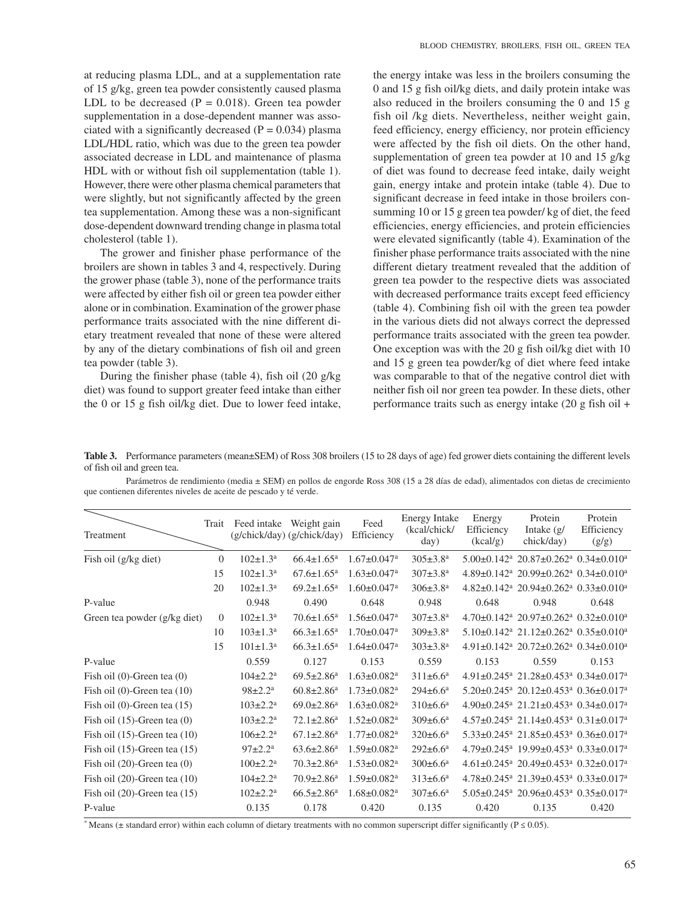at reducing plasma LDL, and at a supplementation rate of 15 g/kg, green tea powder consistently caused plasma LDL to be decreased  $(P = 0.018)$ . Green tea powder supplementation in a dose-dependent manner was associated with a significantly decreased  $(P = 0.034)$  plasma LDL/HDL ratio, which was due to the green tea powder associated decrease in LDL and maintenance of plasma HDL with or without fish oil supplementation (table 1). However, there were other plasma chemical parameters that were slightly, but not significantly affected by the green tea supplementation. Among these was a non-significant dose-dependent downward trending change in plasma total cholesterol (table 1).

The grower and finisher phase performance of the broilers are shown in tables 3 and 4, respectively. During the grower phase (table 3), none of the performance traits were affected by either fish oil or green tea powder either alone or in combination. Examination of the grower phase performance traits associated with the nine different dietary treatment revealed that none of these were altered by any of the dietary combinations of fish oil and green tea powder (table 3).

During the finisher phase (table 4), fish oil (20 g/kg diet) was found to support greater feed intake than either the 0 or 15 g fish oil/kg diet. Due to lower feed intake, the energy intake was less in the broilers consuming the 0 and 15 g fish oil/kg diets, and daily protein intake was also reduced in the broilers consuming the 0 and 15 g fish oil /kg diets. Nevertheless, neither weight gain, feed efficiency, energy efficiency, nor protein efficiency were affected by the fish oil diets. On the other hand, supplementation of green tea powder at 10 and 15 g/kg of diet was found to decrease feed intake, daily weight gain, energy intake and protein intake (table 4). Due to significant decrease in feed intake in those broilers consumming 10 or 15 g green tea powder/ kg of diet, the feed efficiencies, energy efficiencies, and protein efficiencies were elevated significantly (table 4). Examination of the finisher phase performance traits associated with the nine different dietary treatment revealed that the addition of green tea powder to the respective diets was associated with decreased performance traits except feed efficiency (table 4). Combining fish oil with the green tea powder in the various diets did not always correct the depressed performance traits associated with the green tea powder. One exception was with the 20 g fish oil/kg diet with 10 and 15 g green tea powder/kg of diet where feed intake was comparable to that of the negative control diet with neither fish oil nor green tea powder. In these diets, other performance traits such as energy intake (20 g fish oil +

**Table 3.** Performance parameters (mean±SEM) of Ross 308 broilers (15 to 28 days of age) fed grower diets containing the different levels of fish oil and green tea.

Parámetros de rendimiento (media ± SEM) en pollos de engorde Ross 308 (15 a 28 días de edad), alimentados con dietas de crecimiento que contienen diferentes niveles de aceite de pescado y té verde.

| Treatment                         | Trait    | Feed intake              | Weight gain<br>(g/chick/day) (g/chick/day) | Feed<br>Efficiency            | <b>Energy Intake</b><br>(kcal/chick/<br>day) | Energy<br>Efficiency<br>(kcal/g) | Protein<br>Intake $(g/$<br>chick/day)                                                      | Protein<br>Efficiency<br>(g/g) |
|-----------------------------------|----------|--------------------------|--------------------------------------------|-------------------------------|----------------------------------------------|----------------------------------|--------------------------------------------------------------------------------------------|--------------------------------|
| Fish oil (g/kg diet)              | $\Omega$ | $102 \pm 1.3^{\text{a}}$ | $66.4 \pm 1.65$ <sup>a</sup>               | $1.67 \pm 0.047$ <sup>a</sup> | $305 \pm 3.8^{\text{a}}$                     |                                  | $5.00\pm0.142$ <sup>a</sup> 20.87 $\pm$ 0.262 <sup>a</sup> 0.34 $\pm$ 0.010 <sup>a</sup>   |                                |
|                                   | 15       | $102 \pm 1.3^{\text{a}}$ | $67.6 \pm 1.65^{\text{a}}$                 | $1.63 \pm 0.047$ <sup>a</sup> | $307 \pm 3.8^{\text{a}}$                     |                                  | $4.89\pm0.142$ <sup>a</sup> 20.99 $\pm$ 0.262 <sup>a</sup> 0.34 $\pm$ 0.010 <sup>a</sup>   |                                |
|                                   | 20       | $102 \pm 1.3^{\text{a}}$ | $69.2 \pm 1.65^a$                          | $1.60 \pm 0.047$ <sup>a</sup> | $306 \pm 3.8^{\text{a}}$                     |                                  | $4.82\pm0.142$ <sup>a</sup> 20.94 $\pm$ 0.262 <sup>a</sup> 0.33 $\pm$ 0.010 <sup>a</sup>   |                                |
| P-value                           |          | 0.948                    | 0.490                                      | 0.648                         | 0.948                                        | 0.648                            | 0.948                                                                                      | 0.648                          |
| Green tea powder (g/kg diet)      | $\Omega$ | $102 \pm 1.3^a$          | $70.6 \pm 1.65$ <sup>a</sup>               | $1.56 \pm 0.047$ <sup>a</sup> | $307 \pm 3.8^{\text{a}}$                     |                                  | $4.70\pm0.142$ <sup>a</sup> 20.97 $\pm$ 0.262 <sup>a</sup> 0.32 $\pm$ 0.010 <sup>a</sup>   |                                |
|                                   | 10       | $103 \pm 1.3^{\text{a}}$ | $66.3 \pm 1.65^{\text{a}}$                 | $1.70 \pm 0.047$ <sup>a</sup> | $309 \pm 3.8^{\text{a}}$                     |                                  | $5.10\pm0.142$ <sup>a</sup> $21.12\pm0.262$ <sup>a</sup> $0.35\pm0.010$ <sup>a</sup>       |                                |
|                                   | 15       | $101 \pm 1.3^{\text{a}}$ | $66.3 \pm 1.65^a$                          | $1.64 \pm 0.047$ <sup>a</sup> | $303 \pm 3.8^{\rm a}$                        |                                  | $4.91\pm0.142$ <sup>a</sup> 20.72 $\pm$ 0.262 <sup>a</sup> 0.34 $\pm$ 0.010 <sup>a</sup>   |                                |
| P-value                           |          | 0.559                    | 0.127                                      | 0.153                         | 0.559                                        | 0.153                            | 0.559                                                                                      | 0.153                          |
| Fish oil $(0)$ -Green tea $(0)$   |          | $104 \pm 2.2^a$          | $69.5 \pm 2.86$ <sup>a</sup>               | $1.63 \pm 0.082$ <sup>a</sup> | $311 \pm 6.6^a$                              |                                  | $4.91 \pm 0.245$ <sup>a</sup> 21.28 $\pm$ 0.453 <sup>a</sup> 0.34 $\pm$ 0.017 <sup>a</sup> |                                |
| Fish oil $(0)$ -Green tea $(10)$  |          | $98 \pm 2.2^a$           | $60.8 \pm 2.86$ <sup>a</sup>               | $1.73 \pm 0.082$ <sup>a</sup> | $294 \pm 6.6^a$                              |                                  | $5.20 \pm 0.245$ <sup>a</sup> 20.12 $\pm$ 0.453 <sup>a</sup> 0.36 $\pm$ 0.017 <sup>a</sup> |                                |
| Fish oil $(0)$ -Green tea $(15)$  |          | $103 \pm 2.2^a$          | $69.0 \pm 2.86$ <sup>a</sup>               | $1.63 \pm 0.082$ <sup>a</sup> | $310\pm 6.6^a$                               |                                  | $4.90\pm0.245$ <sup>a</sup> $21.21\pm0.453$ <sup>a</sup> $0.34\pm0.017$ <sup>a</sup>       |                                |
| Fish oil $(15)$ -Green tea $(0)$  |          | $103 \pm 2.2^a$          | $72.1 \pm 2.86^a$                          | $1.52 \pm 0.082$ <sup>a</sup> | $309 \pm 6.6^a$                              |                                  | $4.57\pm0.245$ <sup>a</sup> 21.14 $\pm$ 0.453 <sup>a</sup> 0.31 $\pm$ 0.017 <sup>a</sup>   |                                |
| Fish oil $(15)$ -Green tea $(10)$ |          | $106 \pm 2.2^a$          | $67.1 \pm 2.86^a$                          | $1.77 \pm 0.082$ <sup>a</sup> | $320 \pm 6.6^{\text{a}}$                     |                                  | $5.33\pm0.245$ <sup>a</sup> 21.85 $\pm$ 0.453 <sup>a</sup> 0.36 $\pm$ 0.017 <sup>a</sup>   |                                |
| Fish oil $(15)$ -Green tea $(15)$ |          | $97 \pm 2.2^{\text{a}}$  | $63.6 \pm 2.86^a$                          | $1.59 \pm 0.082$ <sup>a</sup> | $292 \pm 6.6^a$                              |                                  | 4.79±0.245 <sup>a</sup> 19.99±0.453 <sup>a</sup> 0.33±0.017 <sup>a</sup>                   |                                |
| Fish oil $(20)$ -Green tea $(0)$  |          | $100 \pm 2.2^a$          | $70.3 \pm 2.86$ <sup>a</sup>               | $1.53 \pm 0.082$ <sup>a</sup> | $300 \pm 6.6^a$                              |                                  | $4.61\pm0.245$ <sup>a</sup> 20.49 $\pm$ 0.453 <sup>a</sup> 0.32 $\pm$ 0.017 <sup>a</sup>   |                                |
| Fish oil $(20)$ -Green tea $(10)$ |          | $104 \pm 2.2^a$          | $70.9 \pm 2.86$ <sup>a</sup>               | $1.59 \pm 0.082$ <sup>a</sup> | $313 \pm 6.6^a$                              |                                  | 4.78±0.245 <sup>a</sup> 21.39±0.453 <sup>a</sup> 0.33±0.017 <sup>a</sup>                   |                                |
| Fish oil $(20)$ -Green tea $(15)$ |          | $102 \pm 2.2^a$          | $66.5 \pm 2.86^a$                          | $1.68 \pm 0.082$ <sup>a</sup> | $307 \pm 6.6^{\text{a}}$                     |                                  | $5.05\pm0.245^{\text{a}}$ 20.96 $\pm$ 0.453 <sup>a</sup> 0.35 $\pm$ 0.017 <sup>a</sup>     |                                |
| P-value                           |          | 0.135                    | 0.178                                      | 0.420                         | 0.135                                        | 0.420                            | 0.135                                                                                      | 0.420                          |

\* Means ( $\pm$  standard error) within each column of dietary treatments with no common superscript differ significantly (P  $\leq$  0.05).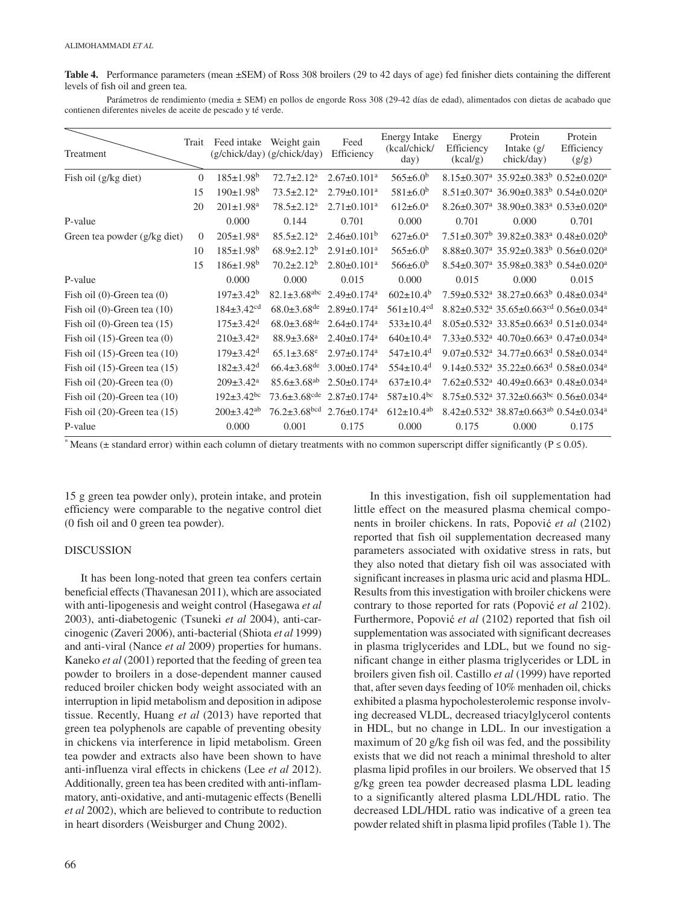**Table 4.** Performance parameters (mean ±SEM) of Ross 308 broilers (29 to 42 days of age) fed finisher diets containing the different levels of fish oil and green tea.

Parámetros de rendimiento (media ± SEM) en pollos de engorde Ross 308 (29-42 días de edad), alimentados con dietas de acabado que contienen diferentes niveles de aceite de pescado y té verde.

| Treatment                         | Trait    |                              | Feed intake Weight gain<br>(g/chick/day) (g/chick/day) | Feed<br>Efficiency            | <b>Energy Intake</b><br>(kcal/chick/<br>day) | Energy<br>Efficiency<br>(kcal/g) | Protein<br>Intake $(g/$<br>chick/day)                                                       | Protein<br>Efficiency<br>(g/g) |
|-----------------------------------|----------|------------------------------|--------------------------------------------------------|-------------------------------|----------------------------------------------|----------------------------------|---------------------------------------------------------------------------------------------|--------------------------------|
| Fish oil (g/kg diet)              | $\Omega$ | $185 \pm 1.98$ <sup>b</sup>  | $72.7 \pm 2.12^a$                                      | $2.67 \pm 0.101$ <sup>a</sup> | $565 \pm 6.0^b$                              |                                  | $8.15\pm0.307^{\text{a}}$ 35.92 $\pm$ 0.383 <sup>b</sup> 0.52 $\pm$ 0.020 <sup>a</sup>      |                                |
|                                   | 15       | $190 \pm 1.98^b$             | $73.5 \pm 2.12^a$                                      | $2.79 \pm 0.101$ <sup>a</sup> | $581 \pm 6.0^b$                              |                                  | $8.51\pm0.307^{\text{a}}$ 36.90 $\pm$ 0.383 <sup>b</sup> 0.54 $\pm$ 0.020 <sup>a</sup>      |                                |
|                                   | 20       | $201 \pm 1.98$ <sup>a</sup>  | $78.5 \pm 2.12^a$                                      | $2.71 \pm 0.101$ <sup>a</sup> | $612 \pm 6.0^a$                              |                                  | $8.26 \pm 0.307$ <sup>a</sup> 38.90 $\pm$ 0.383 <sup>a</sup> 0.53 $\pm$ 0.020 <sup>a</sup>  |                                |
| P-value                           |          | 0.000                        | 0.144                                                  | 0.701                         | 0.000                                        | 0.701                            | 0.000                                                                                       | 0.701                          |
| Green tea powder (g/kg diet)      | $\Omega$ | $205 \pm 1.98$ <sup>a</sup>  | $85.5 \pm 2.12$ <sup>a</sup>                           | $2.46 \pm 0.101^b$            | $627 \pm 6.0^{\text{a}}$                     |                                  | $7.51\pm0.307^{\rm b}$ 39.82 $\pm$ 0.383 <sup>a</sup> 0.48 $\pm$ 0.020 <sup>b</sup>         |                                |
|                                   | 10       | $185 \pm 1.98$ <sup>b</sup>  | $68.9 \pm 2.12^b$                                      | $2.91 \pm 0.101$ <sup>a</sup> | $565 \pm 6.0^b$                              |                                  | $8.88\pm0.307^{\rm a}$ 35.92 $\pm$ 0.383 <sup>b</sup> 0.56 $\pm$ 0.020 <sup>a</sup>         |                                |
|                                   | 15       | $186 \pm 1.98^b$             | $70.2 \pm 2.12^b$                                      | $2.80 \pm 0.101$ <sup>a</sup> | $566 \pm 6.0^b$                              |                                  | $8.54\pm0.307^{\rm a}$ 35.98 $\pm$ 0.383 <sup>b</sup> 0.54 $\pm$ 0.020 <sup>a</sup>         |                                |
| P-value                           |          | 0.000                        | 0.000                                                  | 0.015                         | 0.000                                        | 0.015                            | 0.000                                                                                       | 0.015                          |
| Fish oil $(0)$ -Green tea $(0)$   |          | $197 \pm 3.42^b$             | $82.1 \pm 3.68$ <sup>abc</sup>                         | $2.49 \pm 0.174$ <sup>a</sup> | $602 \pm 10.4^b$                             |                                  | $7.59\pm0.532$ <sup>a</sup> 38.27 $\pm$ 0.663 <sup>b</sup> 0.48 $\pm$ 0.034 <sup>a</sup>    |                                |
| Fish oil $(0)$ -Green tea $(10)$  |          | $184 \pm 3.42$ <sup>cd</sup> | $68.0 \pm 3.68$ <sup>de</sup>                          | $2.89 \pm 0.174$ <sup>a</sup> | $561 \pm 10.4$ <sup>cd</sup>                 |                                  | $8.82 \pm 0.532$ <sup>a</sup> 35.65 $\pm$ 0.663 <sup>cd</sup> 0.56 $\pm$ 0.034 <sup>a</sup> |                                |
| Fish oil $(0)$ -Green tea $(15)$  |          | $175 \pm 3.42$ <sup>d</sup>  | $68.0 \pm 3.68$ <sup>de</sup>                          | $2.64 \pm 0.174$ <sup>a</sup> | $533 \pm 10.4$ <sup>d</sup>                  |                                  | $8.05\pm0.532$ <sup>a</sup> 33.85 $\pm$ 0.663 <sup>d</sup> 0.51 $\pm$ 0.034 <sup>a</sup>    |                                |
| Fish oil $(15)$ -Green tea $(0)$  |          | $210\pm3.42^a$               | $88.9 \pm 3.68$ <sup>a</sup>                           | $2.40 \pm 0.174$ <sup>a</sup> | $640 \pm 10.4^a$                             |                                  | $7.33 \pm 0.532$ <sup>a</sup> $40.70 \pm 0.663$ <sup>a</sup> $0.47 \pm 0.034$ <sup>a</sup>  |                                |
| Fish oil $(15)$ -Green tea $(10)$ |          | $179 \pm 3.42$ <sup>d</sup>  | $65.1 \pm 3.68$ <sup>e</sup>                           | $2.97 \pm 0.174$ <sup>a</sup> | $547 \pm 10.4$ <sup>d</sup>                  |                                  | $9.07\pm0.532$ <sup>a</sup> $34.77\pm0.663$ <sup>d</sup> $0.58\pm0.034$ <sup>a</sup>        |                                |
| Fish oil $(15)$ -Green tea $(15)$ |          | $182 \pm 3.42$ <sup>d</sup>  | $66.4 \pm 3.68$ <sup>de</sup>                          | $3.00 \pm 0.174$ <sup>a</sup> | $554 \pm 10.4$ <sup>d</sup>                  |                                  | $9.14\pm0.532^{\text{a}}$ 35.22 $\pm$ 0.663 <sup>d</sup> 0.58 $\pm$ 0.034 <sup>a</sup>      |                                |
| Fish oil $(20)$ -Green tea $(0)$  |          | $209 \pm 3.42^a$             | $85.6 \pm 3.68$ <sup>ab</sup>                          | $2.50 \pm 0.174$ <sup>a</sup> | $637 \pm 10.4^{\text{a}}$                    |                                  | $7.62 \pm 0.532$ <sup>a</sup> $40.49 \pm 0.663$ <sup>a</sup> $0.48 \pm 0.034$ <sup>a</sup>  |                                |
| Fish oil $(20)$ -Green tea $(10)$ |          | $192 \pm 3.42$ <sup>bc</sup> | $73.6 \pm 3.68$ <sup>cde</sup>                         | $2.87 \pm 0.174$ <sup>a</sup> | $587 \pm 10.4$ <sup>bc</sup>                 |                                  | $8.75 \pm 0.532$ <sup>a</sup> 37.32 $\pm 0.663$ <sup>bc</sup> 0.56 $\pm 0.034$ <sup>a</sup> |                                |
| Fish oil $(20)$ -Green tea $(15)$ |          | $200 \pm 3.42$ <sup>ab</sup> | $76.2 \pm 3.68$ <sup>bcd</sup>                         | $2.76 \pm 0.174$ <sup>a</sup> | $612 \pm 10.4^{ab}$                          |                                  | $8.42\pm0.532$ <sup>a</sup> 38.87 $\pm$ 0.663 <sup>ab</sup> 0.54 $\pm$ 0.034 <sup>a</sup>   |                                |
| P-value                           |          | 0.000                        | 0.001                                                  | 0.175                         | 0.000                                        | 0.175                            | 0.000                                                                                       | 0.175                          |

\* Means ( $\pm$  standard error) within each column of dietary treatments with no common superscript differ significantly ( $P \le 0.05$ ).

15 g green tea powder only), protein intake, and protein efficiency were comparable to the negative control diet (0 fish oil and 0 green tea powder).

## DISCUSSION

It has been long-noted that green tea confers certain beneficial effects (Thavanesan 2011), which are associated with anti-lipogenesis and weight control (Hasegawa *et al* 2003), anti-diabetogenic (Tsuneki *et al* 2004), anti-carcinogenic (Zaveri 2006), anti-bacterial (Shiota *et al* 1999) and anti-viral (Nance *et al* 2009) properties for humans. Kaneko *et al* (2001) reported that the feeding of green tea powder to broilers in a dose-dependent manner caused reduced broiler chicken body weight associated with an interruption in lipid metabolism and deposition in adipose tissue. Recently, Huang *et al* (2013) have reported that green tea polyphenols are capable of preventing obesity in chickens via interference in lipid metabolism. Green tea powder and extracts also have been shown to have anti-influenza viral effects in chickens (Lee *et al* 2012). Additionally, green tea has been credited with anti-inflammatory, anti-oxidative, and anti-mutagenic effects (Benelli *et al* 2002), which are believed to contribute to reduction in heart disorders (Weisburger and Chung 2002).

66

In this investigation, fish oil supplementation had little effect on the measured plasma chemical components in broiler chickens. In rats, Popović et al (2102) reported that fish oil supplementation decreased many parameters associated with oxidative stress in rats, but they also noted that dietary fish oil was associated with significant increases in plasma uric acid and plasma HDL. Results from this investigation with broiler chickens were contrary to those reported for rats (Popovi*ć et al* 2102). Furthermore, Popović et al (2102) reported that fish oil supplementation was associated with significant decreases in plasma triglycerides and LDL, but we found no significant change in either plasma triglycerides or LDL in broilers given fish oil. Castillo *et al* (1999) have reported that, after seven days feeding of 10% menhaden oil, chicks exhibited a plasma hypocholesterolemic response involving decreased VLDL, decreased triacylglycerol contents in HDL, but no change in LDL. In our investigation a maximum of 20 g/kg fish oil was fed, and the possibility exists that we did not reach a minimal threshold to alter plasma lipid profiles in our broilers. We observed that 15 g/kg green tea powder decreased plasma LDL leading to a significantly altered plasma LDL/HDL ratio. The decreased LDL/HDL ratio was indicative of a green tea powder related shift in plasma lipid profiles (Table 1). The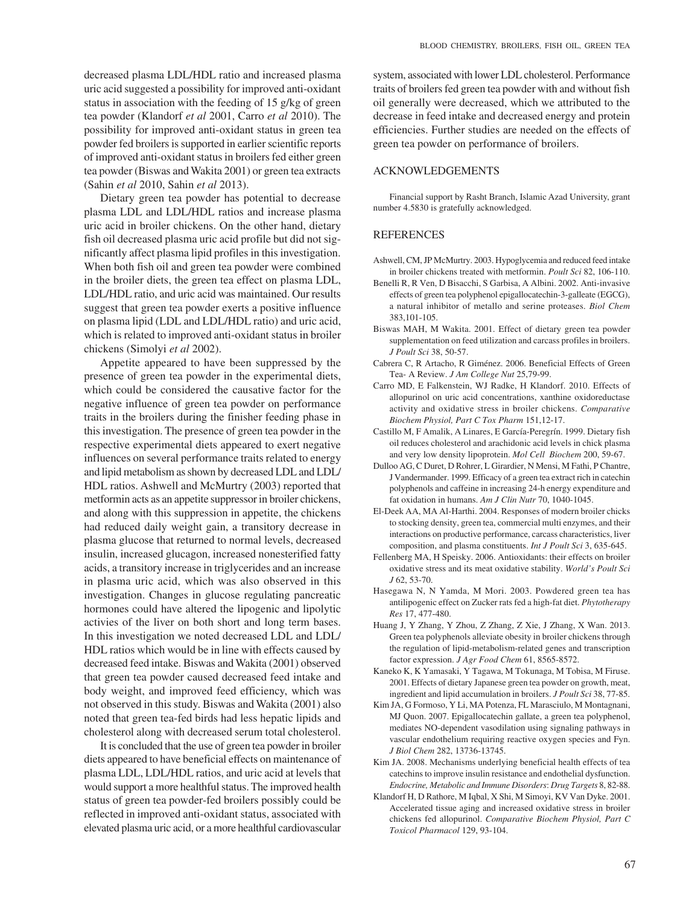decreased plasma LDL/HDL ratio and increased plasma uric acid suggested a possibility for improved anti-oxidant status in association with the feeding of 15 g/kg of green tea powder (Klandorf *et al* 2001, Carro *et al* 2010). The possibility for improved anti-oxidant status in green tea powder fed broilers is supported in earlier scientific reports of improved anti-oxidant status in broilers fed either green tea powder (Biswas and Wakita 2001) or green tea extracts (Sahin *et al* 2010, Sahin *et al* 2013).

Dietary green tea powder has potential to decrease plasma LDL and LDL/HDL ratios and increase plasma uric acid in broiler chickens. On the other hand, dietary fish oil decreased plasma uric acid profile but did not significantly affect plasma lipid profiles in this investigation. When both fish oil and green tea powder were combined in the broiler diets, the green tea effect on plasma LDL, LDL/HDL ratio, and uric acid was maintained. Our results suggest that green tea powder exerts a positive influence on plasma lipid (LDL and LDL/HDL ratio) and uric acid, which is related to improved anti-oxidant status in broiler chickens (Simolyi *et al* 2002).

Appetite appeared to have been suppressed by the presence of green tea powder in the experimental diets, which could be considered the causative factor for the negative influence of green tea powder on performance traits in the broilers during the finisher feeding phase in this investigation. The presence of green tea powder in the respective experimental diets appeared to exert negative influences on several performance traits related to energy and lipid metabolism as shown by decreased LDL and LDL/ HDL ratios. Ashwell and McMurtry (2003) reported that metformin acts as an appetite suppressor in broiler chickens, and along with this suppression in appetite, the chickens had reduced daily weight gain, a transitory decrease in plasma glucose that returned to normal levels, decreased insulin, increased glucagon, increased nonesterified fatty acids, a transitory increase in triglycerides and an increase in plasma uric acid, which was also observed in this investigation. Changes in glucose regulating pancreatic hormones could have altered the lipogenic and lipolytic activies of the liver on both short and long term bases. In this investigation we noted decreased LDL and LDL/ HDL ratios which would be in line with effects caused by decreased feed intake. Biswas and Wakita (2001) observed that green tea powder caused decreased feed intake and body weight, and improved feed efficiency, which was not observed in this study. Biswas and Wakita (2001) also noted that green tea-fed birds had less hepatic lipids and cholesterol along with decreased serum total cholesterol.

It is concluded that the use of green tea powder in broiler diets appeared to have beneficial effects on maintenance of plasma LDL, LDL/HDL ratios, and uric acid at levels that would support a more healthful status. The improved health status of green tea powder-fed broilers possibly could be reflected in improved anti-oxidant status, associated with elevated plasma uric acid, or a more healthful cardiovascular system, associated with lower LDL cholesterol. Performance traits of broilers fed green tea powder with and without fish oil generally were decreased, which we attributed to the decrease in feed intake and decreased energy and protein efficiencies. Further studies are needed on the effects of green tea powder on performance of broilers.

#### ACKNOWLEDGEMENTS

Financial support by Rasht Branch, Islamic Azad University, grant number 4.5830 is gratefully acknowledged.

## REFERENCES

- Ashwell, CM, JP McMurtry. 2003. Hypoglycemia and reduced feed intake in broiler chickens treated with metformin. *Poult Sci* 82, 106-110.
- Benelli R, R Ven, D Bisacchi, S Garbisa, A Albini. 2002. Anti-invasive effects of green tea polyphenol epigallocatechin-3-galleate (EGCG), a natural inhibitor of metallo and serine proteases. *Biol Chem* 383,101-105.
- Biswas MAH, M Wakita. 2001. Effect of dietary green tea powder supplementation on feed utilization and carcass profiles in broilers. *J Poult Sci* 38, 50-57.
- Cabrera C, R Artacho, R Giménez. 2006. Beneficial Effects of Green Tea- A Review. *J Am College Nut* 25,79-99.
- Carro MD, E Falkenstein, WJ Radke, H Klandorf. 2010. Effects of allopurinol on uric acid concentrations, xanthine oxidoreductase activity and oxidative stress in broiler chickens. *Comparative Biochem Physiol, Part C Tox Pharm* 151,12-17.
- Castillo M, F Amalik, A Linares, E García-Peregrín. 1999. Dietary fish oil reduces cholesterol and arachidonic acid levels in chick plasma and very low density lipoprotein. *Mol Cell Biochem* 200, 59-67.
- Dulloo AG, C Duret, D Rohrer, L Girardier, N Mensi, M Fathi, P Chantre, J Vandermander. 1999. Efficacy of a green tea extract rich in catechin polyphenols and caffeine in increasing 24-h energy expenditure and fat oxidation in humans. *Am J Clin Nutr* 70, 1040-1045.
- El-Deek AA, MA Al-Harthi. 2004. Responses of modern broiler chicks to stocking density, green tea, commercial multi enzymes, and their interactions on productive performance, carcass characteristics, liver composition, and plasma constituents. *Int J Poult Sci* 3, 635-645.
- Fellenberg MA, H Speisky. 2006. Antioxidants: their effects on broiler oxidative stress and its meat oxidative stability. *World's Poult Sci J* 62, 53-70.
- Hasegawa N, N Yamda, M Mori. 2003. Powdered green tea has antilipogenic effect on Zucker rats fed a high-fat diet. *Phytotherapy Res* 17, 477-480.
- Huang J, Y Zhang, Y Zhou, Z Zhang, Z Xie, J Zhang, X Wan. 2013. Green tea polyphenols alleviate obesity in broiler chickens through the regulation of lipid-metabolism-related genes and transcription factor expression. *J Agr Food Chem* 61, 8565-8572.
- Kaneko K, K Yamasaki, Y Tagawa, M Tokunaga, M Tobisa, M Firuse. 2001. Effects of dietary Japanese green tea powder on growth, meat, ingredient and lipid accumulation in broilers. *J Poult Sci* 38, 77-85.
- Kim JA, G Formoso, Y Li, MA Potenza, FL Marasciulo, M Montagnani, MJ Quon. 2007. Epigallocatechin gallate, a green tea polyphenol, mediates NO-dependent vasodilation using signaling pathways in vascular endothelium requiring reactive oxygen species and Fyn. *J Biol Chem* 282, 13736-13745.
- Kim JA. 2008. Mechanisms underlying beneficial health effects of tea catechins to improve insulin resistance and endothelial dysfunction. *Endocrine, Metabolic and Immune Disorders*: *Drug Targets* 8, 82-88.
- Klandorf H, D Rathore, M Iqbal, X Shi, M Simoyi, KV Van Dyke. 2001. Accelerated tissue aging and increased oxidative stress in broiler chickens fed allopurinol. *Comparative Biochem Physiol, Part C Toxicol Pharmacol* 129, 93-104.